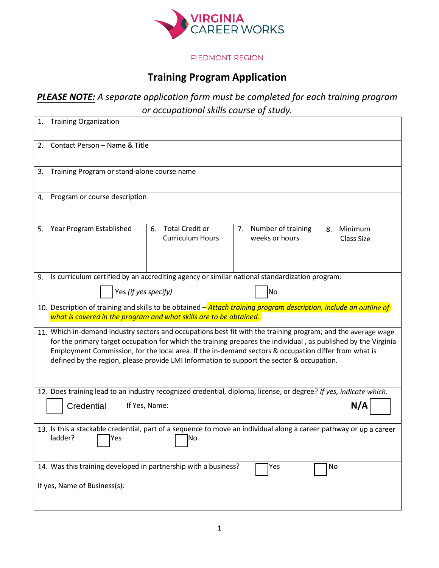

## PIEDMONT REGION

## **Training Program Application**

## *PLEASE NOTE: A separate application form must be completed for each training program or occupational skills course of study.*

| 1.                                                                                                                                                                                                                                                                                                                                                                                                                                   | <b>Training Organization</b>                                                                  |                                                         |                                            |                             |  |  |  |  |
|--------------------------------------------------------------------------------------------------------------------------------------------------------------------------------------------------------------------------------------------------------------------------------------------------------------------------------------------------------------------------------------------------------------------------------------|-----------------------------------------------------------------------------------------------|---------------------------------------------------------|--------------------------------------------|-----------------------------|--|--|--|--|
| 2.                                                                                                                                                                                                                                                                                                                                                                                                                                   | Contact Person - Name & Title                                                                 |                                                         |                                            |                             |  |  |  |  |
| 3.                                                                                                                                                                                                                                                                                                                                                                                                                                   | Training Program or stand-alone course name                                                   |                                                         |                                            |                             |  |  |  |  |
| 4.                                                                                                                                                                                                                                                                                                                                                                                                                                   | Program or course description                                                                 |                                                         |                                            |                             |  |  |  |  |
| 5.                                                                                                                                                                                                                                                                                                                                                                                                                                   | Year Program Established                                                                      | <b>Total Credit or</b><br>6.<br><b>Curriculum Hours</b> | Number of training<br>7.<br>weeks or hours | Minimum<br>8.<br>Class Size |  |  |  |  |
| 9.                                                                                                                                                                                                                                                                                                                                                                                                                                   | Is curriculum certified by an accrediting agency or similar national standardization program: |                                                         |                                            |                             |  |  |  |  |
|                                                                                                                                                                                                                                                                                                                                                                                                                                      | Yes (if yes specify)                                                                          |                                                         | lNo                                        |                             |  |  |  |  |
| 10. Description of training and skills to be obtained – Attach training program description, include an outline of<br>what is covered in the program and what skills are to be obtained.                                                                                                                                                                                                                                             |                                                                                               |                                                         |                                            |                             |  |  |  |  |
| 11. Which in-demand industry sectors and occupations best fit with the training program; and the average wage<br>for the primary target occupation for which the training prepares the individual, as published by the Virginia<br>Employment Commission, for the local area. If the in-demand sectors & occupation differ from what is<br>defined by the region, please provide LMI Information to support the sector & occupation. |                                                                                               |                                                         |                                            |                             |  |  |  |  |
| 12. Does training lead to an industry recognized credential, diploma, license, or degree? If yes, indicate which.                                                                                                                                                                                                                                                                                                                    |                                                                                               |                                                         |                                            |                             |  |  |  |  |
| N/A<br>Credential<br>If Yes, Name:                                                                                                                                                                                                                                                                                                                                                                                                   |                                                                                               |                                                         |                                            |                             |  |  |  |  |
| 13. Is this a stackable credential, part of a sequence to move an individual along a career pathway or up a career<br>ladder?<br><b>Solution Property Property Property Property Property Property Property Property Property Property Property Property Property Property Property Property Property Property Property P</b>                                                                                                        |                                                                                               |                                                         |                                            |                             |  |  |  |  |
|                                                                                                                                                                                                                                                                                                                                                                                                                                      | 14. Was this training developed in partnership with a business?                               |                                                         | Yes                                        | No                          |  |  |  |  |
| If yes, Name of Business(s):                                                                                                                                                                                                                                                                                                                                                                                                         |                                                                                               |                                                         |                                            |                             |  |  |  |  |